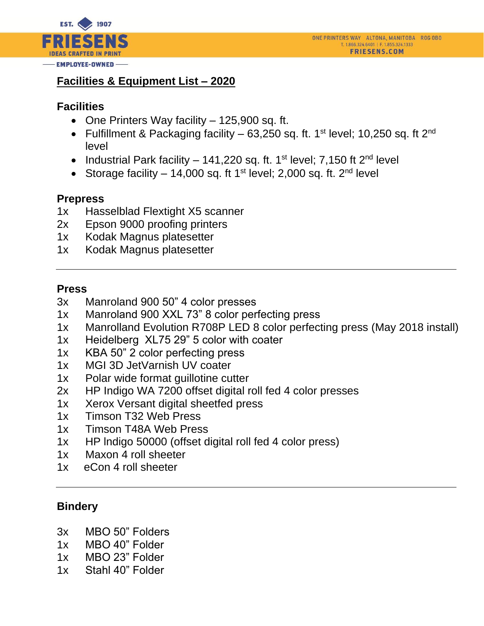

# **Facilities & Equipment List – 2020**

### **Facilities**

- One Printers Way facility 125,900 sq. ft.
- Fulfillment & Packaging facility  $-63,250$  sq. ft. 1<sup>st</sup> level; 10,250 sq. ft 2<sup>nd</sup> level
- Industrial Park facility 141,220 sq. ft. 1<sup>st</sup> level; 7,150 ft  $2^{nd}$  level
- Storage facility  $-14,000$  sq. ft 1<sup>st</sup> level; 2,000 sq. ft. 2<sup>nd</sup> level

#### **Prepress**

- 1x Hasselblad Flextight X5 scanner
- 2x Epson 9000 proofing printers
- 1x Kodak Magnus platesetter
- 1x Kodak Magnus platesetter

#### **Press**

- 3x Manroland 900 50" 4 color presses
- 1x Manroland 900 XXL 73" 8 color perfecting press
- 1x Manrolland Evolution R708P LED 8 color perfecting press (May 2018 install)
- 1x Heidelberg XL75 29" 5 color with coater
- 1x KBA 50" 2 color perfecting press
- 1x MGI 3D JetVarnish UV coater
- 1x Polar wide format guillotine cutter
- 2x HP Indigo WA 7200 offset digital roll fed 4 color presses
- 1x Xerox Versant digital sheetfed press
- 1x Timson T32 Web Press
- 1x Timson T48A Web Press
- 1x HP lndigo 50000 (offset digital roll fed 4 color press)
- 1x Maxon 4 roll sheeter
- 1x eCon 4 roll sheeter

## **Bindery**

- 3x MBO 50" Folders
- 1x MBO 40" Folder
- 1x MBO 23" Folder
- 1x Stahl 40" Folder